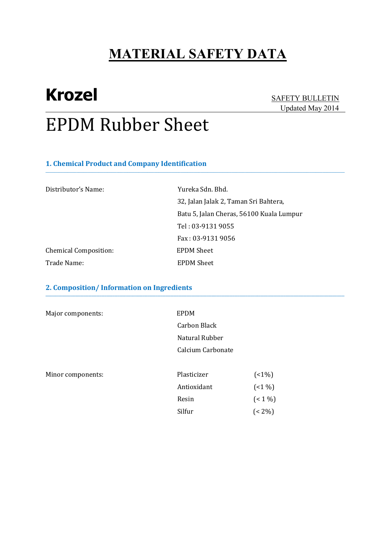**\_\_\_\_\_\_\_\_\_\_\_\_\_\_\_\_\_\_\_\_\_\_\_\_\_\_\_\_\_\_\_\_\_\_\_\_\_\_\_\_\_\_\_\_\_\_\_\_\_\_\_\_\_\_\_\_\_\_\_\_\_\_\_\_\_\_\_\_\_\_\_\_\_\_\_\_\_\_\_\_\_\_\_\_\_\_\_\_\_\_\_\_\_\_\_\_\_\_\_\_\_\_\_\_\_\_\_\_\_\_\_\_\_\_\_\_\_\_\_\_\_\_\_\_\_\_\_\_\_\_\_\_\_\_\_** 

**\_\_\_\_\_\_\_\_\_\_\_\_\_\_\_\_\_\_\_\_\_\_\_\_\_\_\_\_\_\_\_\_\_\_\_\_\_\_\_\_\_\_\_\_\_\_\_\_\_\_\_\_\_\_\_\_\_\_\_\_\_\_\_\_\_\_\_\_\_\_\_\_\_\_\_\_\_\_\_\_\_\_\_\_\_\_\_\_\_\_\_\_\_\_\_\_\_\_\_\_\_\_\_\_\_\_\_\_\_\_\_\_\_\_\_\_\_\_\_\_\_\_\_\_\_\_\_\_\_\_\_\_\_\_\_\_\_\_\_\_\_\_\_\_\_\_\_\_\_\_\_\_\_\_\_\_\_\_\_\_\_\_\_\_\_\_\_\_\_\_\_\_\_\_\_\_\_\_\_\_\_\_** 

# **Krozel** SAFETY BULLETIN

# Updated May 2014

# EPDM Rubber Sheet

### **1. Chemical Product and Company Identification**

| Distributor's Name:          | Yureka Sdn. Bhd.                         |
|------------------------------|------------------------------------------|
|                              | 32, Jalan Jalak 2, Taman Sri Bahtera,    |
|                              | Batu 5, Jalan Cheras, 56100 Kuala Lumpur |
|                              | Tel: 03-9131 9055                        |
|                              | Fax: 03-9131 9056                        |
| <b>Chemical Composition:</b> | <b>EPDM Sheet</b>                        |
| Trade Name:                  | <b>EPDM</b> Sheet                        |

### **2. Composition/ Information on Ingredients**

| Major components: | EPDM              |         |
|-------------------|-------------------|---------|
|                   | Carbon Black      |         |
|                   | Natural Rubber    |         |
|                   | Calcium Carbonate |         |
| Minor components: | Plasticizer       | $(1\%)$ |
|                   | Antioxidant       | $(1\%)$ |
|                   | Resin             | $(1\%)$ |
|                   | Silfur            | $(2\%)$ |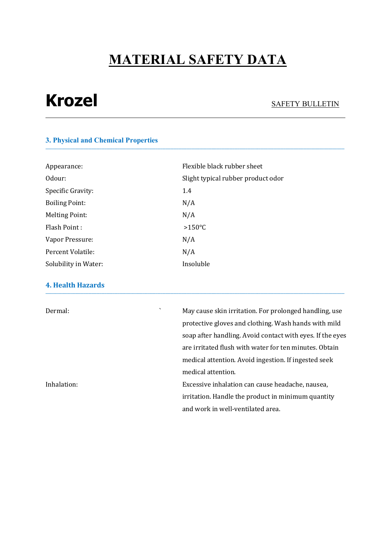**\_\_\_\_\_\_\_\_\_\_\_\_\_\_\_\_\_\_\_\_\_\_\_\_\_\_\_\_\_\_\_\_\_\_\_\_\_\_\_\_\_\_\_\_\_\_\_\_\_\_\_\_\_\_\_\_\_\_\_\_\_\_\_\_\_\_\_\_\_\_\_\_\_\_\_\_\_\_\_\_\_\_\_\_\_\_\_\_\_\_\_\_\_\_\_\_\_\_\_\_\_\_\_\_\_\_\_\_\_\_\_\_\_\_\_\_\_\_\_\_\_\_\_\_\_\_\_\_\_\_\_\_\_\_\_\_\_\_\_\_\_\_\_\_\_\_\_\_\_\_\_\_\_\_\_\_\_\_\_\_\_\_\_\_\_\_\_\_\_\_\_\_\_\_\_\_\_\_\_\_\_\_** 

# **Krozel** SAFETY BULLETIN

### **3. Physical and Chemical Properties**

| Appearance:           | Flexible black rubber sheet        |
|-----------------------|------------------------------------|
| Odour:                | Slight typical rubber product odor |
| Specific Gravity:     | 1.4                                |
| <b>Boiling Point:</b> | N/A                                |
| <b>Melting Point:</b> | N/A                                |
| Flash Point:          | $>150^{\circ}$ C                   |
| Vapor Pressure:       | N/A                                |
| Percent Volatile:     | N/A                                |
| Solubility in Water:  | Insoluble                          |

### **4. Health Hazards**

| ↖<br>Dermal: | May cause skin irritation. For prolonged handling, use<br>protective gloves and clothing. Wash hands with mild |                                                           |
|--------------|----------------------------------------------------------------------------------------------------------------|-----------------------------------------------------------|
|              |                                                                                                                | soap after handling. Avoid contact with eyes. If the eyes |
|              |                                                                                                                | are irritated flush with water for ten minutes. Obtain    |
|              |                                                                                                                | medical attention. Avoid ingestion. If ingested seek      |
|              |                                                                                                                | medical attention.                                        |
| Inhalation:  |                                                                                                                | Excessive inhalation can cause headache, nausea,          |
|              | irritation. Handle the product in minimum quantity                                                             |                                                           |
|              |                                                                                                                | and work in well-ventilated area.                         |

**\_\_\_\_\_\_\_\_\_\_\_\_\_\_\_\_\_\_\_\_\_\_\_\_\_\_\_\_\_\_\_\_\_\_\_\_\_\_\_\_\_\_\_\_\_\_\_\_\_\_\_\_\_\_\_\_\_\_\_\_\_\_\_\_\_\_\_\_\_\_\_\_\_\_\_\_\_\_\_\_\_\_\_\_\_\_\_\_\_\_\_\_\_\_\_\_\_\_\_\_\_\_\_\_\_\_\_\_\_\_\_\_\_\_\_\_\_\_\_\_\_\_\_\_\_\_\_\_\_\_\_\_\_\_\_\_\_\_\_\_\_\_\_\_\_\_\_\_\_\_\_\_\_\_\_\_\_\_\_\_\_\_\_\_\_\_\_\_\_\_\_\_\_\_\_\_\_\_\_\_\_\_**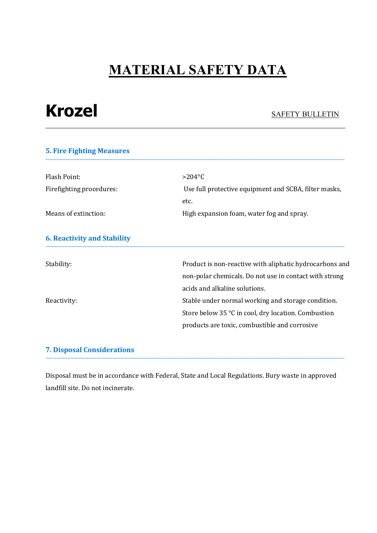# **Krozel** SAFETY BULLETIN

### **5. Fire Fighting Measures \_\_\_\_\_\_\_\_\_\_\_\_\_\_\_\_\_\_\_\_\_\_\_\_\_\_\_\_\_\_\_\_\_\_\_\_\_\_\_\_\_\_\_\_\_\_\_\_\_\_\_\_\_\_\_\_\_\_\_\_\_\_\_\_\_\_\_\_\_\_\_\_\_\_\_\_\_\_\_\_\_\_\_\_\_\_\_\_\_\_\_\_\_\_\_\_\_\_\_\_\_\_\_\_\_\_\_\_\_\_\_\_\_\_\_\_\_\_\_\_\_\_\_\_\_\_\_\_\_\_\_\_\_\_\_\_\_\_\_\_\_\_\_\_\_\_\_\_\_\_\_\_\_\_\_\_\_\_\_\_\_\_\_\_\_\_\_\_\_\_\_\_\_\_\_\_\_\_\_\_\_\_**

| Flash Point:                       | $>204$ °C                                               |
|------------------------------------|---------------------------------------------------------|
| Firefighting procedures:           | Use full protective equipment and SCBA, filter masks,   |
|                                    | etc.                                                    |
| Means of extinction:               | High expansion foam, water fog and spray.               |
|                                    |                                                         |
| <b>6. Reactivity and Stability</b> |                                                         |
|                                    |                                                         |
| Stability:                         | Product is non-reactive with aliphatic hydrocarbons and |
|                                    | non-polar chemicals. Do not use in contact with strong  |
|                                    | acids and alkaline solutions.                           |
| Reactivity:                        | Stable under normal working and storage condition.      |
|                                    | Store below 35 °C in cool, dry location. Combustion     |
|                                    | products are toxic, combustible and corrosive           |
|                                    |                                                         |

### **7. Disposal Considerations**

Disposal must be in accordance with Federal, State and Local Regulations. Bury waste in approved landfill site. Do not incinerate.

**\_\_\_\_\_\_\_\_\_\_\_\_\_\_\_\_\_\_\_\_\_\_\_\_\_\_\_\_\_\_\_\_\_\_\_\_\_\_\_\_\_\_\_\_\_\_\_\_\_\_\_\_\_\_\_\_\_\_\_\_\_\_\_\_\_\_\_\_\_\_\_\_\_\_\_\_\_\_\_\_\_\_\_\_\_\_\_\_\_\_\_\_\_\_\_\_\_\_\_\_\_\_\_\_\_\_\_\_\_\_\_\_\_\_\_\_\_\_\_\_\_\_\_\_\_\_\_\_\_\_\_\_\_\_\_\_\_\_\_\_\_\_\_\_\_\_\_\_\_\_\_\_\_\_\_\_\_\_\_\_\_\_\_\_\_\_\_\_\_\_\_\_\_\_\_\_\_\_\_\_\_\_**